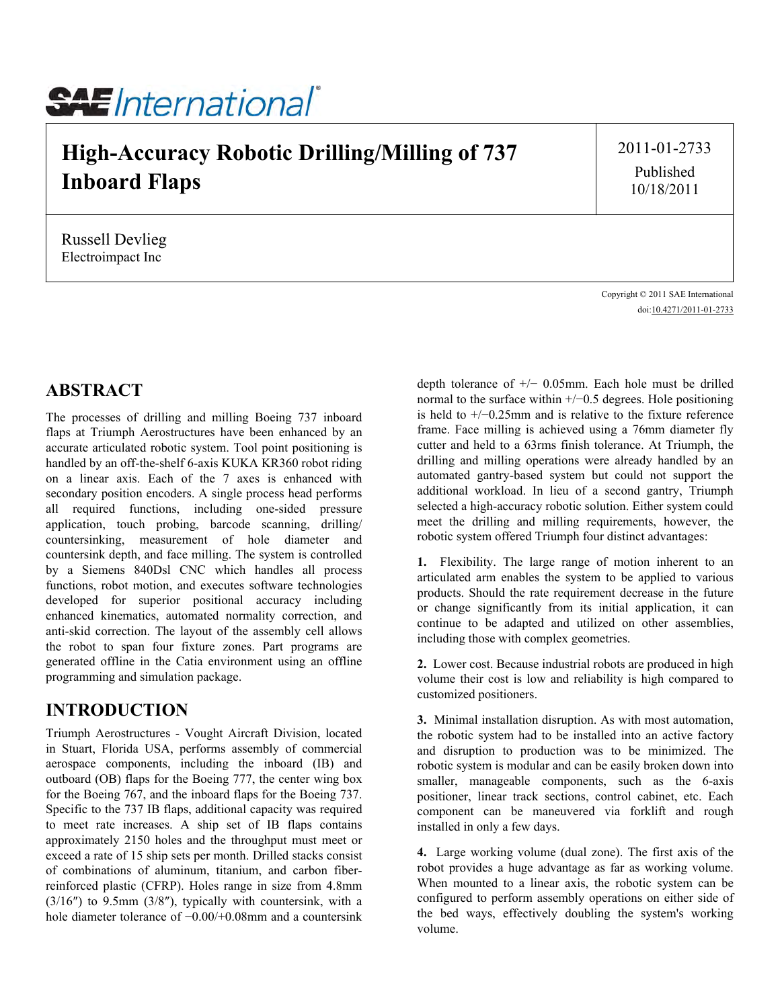# **SAE** International®

## **High-Accuracy Robotic Drilling/Milling of 737 Inboard Flaps**

2011-01-2733 Published 10/18/2011

Russell Devlieg Electroimpact Inc

> Copyright © 2011 SAE International doi:[10.4271/2011-01-2733](http://dx.doi.org/10.4271/2011-01-2733)

## **ABSTRACT**

The processes of drilling and milling Boeing 737 inboard flaps at Triumph Aerostructures have been enhanced by an accurate articulated robotic system. Tool point positioning is handled by an off-the-shelf 6-axis KUKA KR360 robot riding on a linear axis. Each of the 7 axes is enhanced with secondary position encoders. A single process head performs all required functions, including one-sided pressure application, touch probing, barcode scanning, drilling/ countersinking, measurement of hole diameter and countersink depth, and face milling. The system is controlled by a Siemens 840Dsl CNC which handles all process functions, robot motion, and executes software technologies developed for superior positional accuracy including enhanced kinematics, automated normality correction, and anti-skid correction. The layout of the assembly cell allows the robot to span four fixture zones. Part programs are generated offline in the Catia environment using an offline programming and simulation package.

## **INTRODUCTION**

Triumph Aerostructures - Vought Aircraft Division, located in Stuart, Florida USA, performs assembly of commercial aerospace components, including the inboard (IB) and outboard (OB) flaps for the Boeing 777, the center wing box for the Boeing 767, and the inboard flaps for the Boeing 737. Specific to the 737 IB flaps, additional capacity was required to meet rate increases. A ship set of IB flaps contains approximately 2150 holes and the throughput must meet or exceed a rate of 15 ship sets per month. Drilled stacks consist of combinations of aluminum, titanium, and carbon fiberreinforced plastic (CFRP). Holes range in size from 4.8mm (3/16″) to 9.5mm (3/8″), typically with countersink, with a hole diameter tolerance of −0.00/+0.08mm and a countersink

depth tolerance of +/− 0.05mm. Each hole must be drilled normal to the surface within +/−0.5 degrees. Hole positioning is held to +/−0.25mm and is relative to the fixture reference frame. Face milling is achieved using a 76mm diameter fly cutter and held to a 63rms finish tolerance. At Triumph, the drilling and milling operations were already handled by an automated gantry-based system but could not support the additional workload. In lieu of a second gantry, Triumph selected a high-accuracy robotic solution. Either system could meet the drilling and milling requirements, however, the robotic system offered Triumph four distinct advantages:

**1.** Flexibility. The large range of motion inherent to an articulated arm enables the system to be applied to various products. Should the rate requirement decrease in the future or change significantly from its initial application, it can continue to be adapted and utilized on other assemblies, including those with complex geometries.

**2.** Lower cost. Because industrial robots are produced in high volume their cost is low and reliability is high compared to customized positioners.

**3.** Minimal installation disruption. As with most automation, the robotic system had to be installed into an active factory and disruption to production was to be minimized. The robotic system is modular and can be easily broken down into smaller, manageable components, such as the 6-axis positioner, linear track sections, control cabinet, etc. Each component can be maneuvered via forklift and rough installed in only a few days.

**4.** Large working volume (dual zone). The first axis of the robot provides a huge advantage as far as working volume. When mounted to a linear axis, the robotic system can be configured to perform assembly operations on either side of the bed ways, effectively doubling the system's working volume.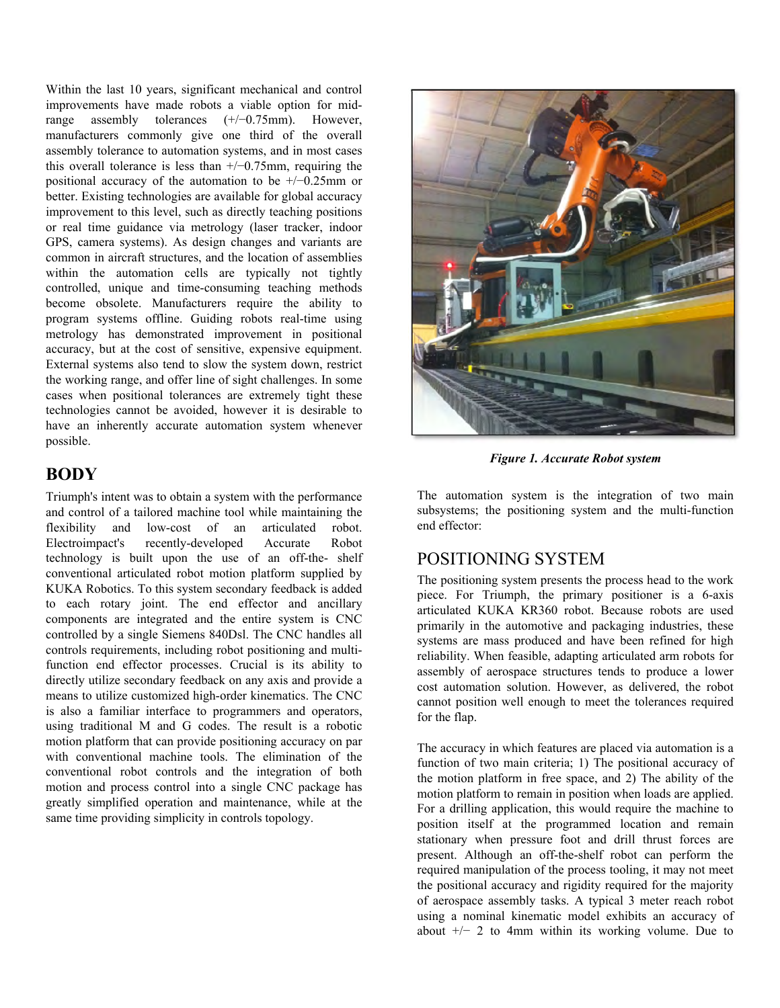Within the last 10 years, significant mechanical and control improvements have made robots a viable option for midrange assembly tolerances (+/−0.75mm). However, manufacturers commonly give one third of the overall assembly tolerance to automation systems, and in most cases this overall tolerance is less than +/−0.75mm, requiring the positional accuracy of the automation to be +/−0.25mm or better. Existing technologies are available for global accuracy improvement to this level, such as directly teaching positions or real time guidance via metrology (laser tracker, indoor GPS, camera systems). As design changes and variants are common in aircraft structures, and the location of assemblies within the automation cells are typically not tightly controlled, unique and time-consuming teaching methods become obsolete. Manufacturers require the ability to program systems offline. Guiding robots real-time using metrology has demonstrated improvement in positional accuracy, but at the cost of sensitive, expensive equipment. External systems also tend to slow the system down, restrict the working range, and offer line of sight challenges. In some cases when positional tolerances are extremely tight these technologies cannot be avoided, however it is desirable to have an inherently accurate automation system whenever possible.

## **BODY**

Triumph's intent was to obtain a system with the performance and control of a tailored machine tool while maintaining the flexibility and low-cost of an articulated robot. Electroimpact's recently-developed Accurate Robot technology is built upon the use of an off-the- shelf conventional articulated robot motion platform supplied by KUKA Robotics. To this system secondary feedback is added to each rotary joint. The end effector and ancillary components are integrated and the entire system is CNC controlled by a single Siemens 840Dsl. The CNC handles all controls requirements, including robot positioning and multifunction end effector processes. Crucial is its ability to directly utilize secondary feedback on any axis and provide a means to utilize customized high-order kinematics. The CNC is also a familiar interface to programmers and operators, using traditional M and G codes. The result is a robotic motion platform that can provide positioning accuracy on par with conventional machine tools. The elimination of the conventional robot controls and the integration of both motion and process control into a single CNC package has greatly simplified operation and maintenance, while at the same time providing simplicity in controls topology.



*Figure 1. Accurate Robot system*

The automation system is the integration of two main subsystems; the positioning system and the multi-function end effector:

## POSITIONING SYSTEM

The positioning system presents the process head to the work piece. For Triumph, the primary positioner is a 6-axis articulated KUKA KR360 robot. Because robots are used primarily in the automotive and packaging industries, these systems are mass produced and have been refined for high reliability. When feasible, adapting articulated arm robots for assembly of aerospace structures tends to produce a lower cost automation solution. However, as delivered, the robot cannot position well enough to meet the tolerances required for the flap.

The accuracy in which features are placed via automation is a function of two main criteria; 1) The positional accuracy of the motion platform in free space, and 2) The ability of the motion platform to remain in position when loads are applied. For a drilling application, this would require the machine to position itself at the programmed location and remain stationary when pressure foot and drill thrust forces are present. Although an off-the-shelf robot can perform the required manipulation of the process tooling, it may not meet the positional accuracy and rigidity required for the majority of aerospace assembly tasks. A typical 3 meter reach robot using a nominal kinematic model exhibits an accuracy of about +/− 2 to 4mm within its working volume. Due to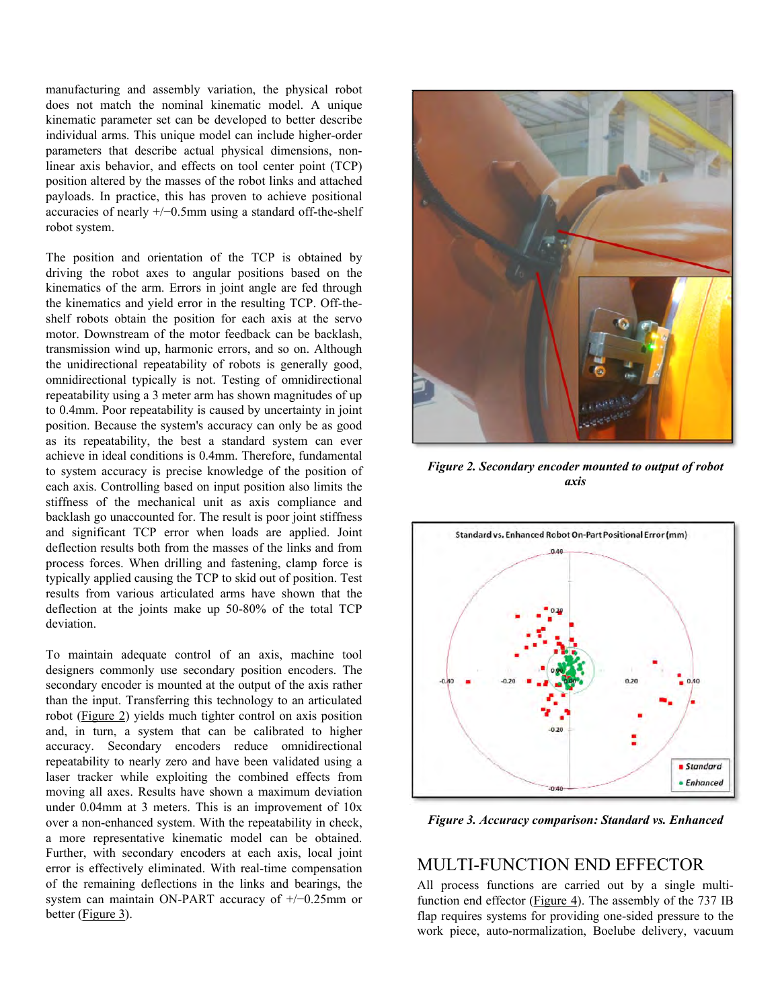manufacturing and assembly variation, the physical robot does not match the nominal kinematic model. A unique kinematic parameter set can be developed to better describe individual arms. This unique model can include higher-order parameters that describe actual physical dimensions, nonlinear axis behavior, and effects on tool center point (TCP) position altered by the masses of the robot links and attached payloads. In practice, this has proven to achieve positional accuracies of nearly +/−0.5mm using a standard off-the-shelf robot system.

The position and orientation of the TCP is obtained by driving the robot axes to angular positions based on the kinematics of the arm. Errors in joint angle are fed through the kinematics and yield error in the resulting TCP. Off-theshelf robots obtain the position for each axis at the servo motor. Downstream of the motor feedback can be backlash, transmission wind up, harmonic errors, and so on. Although the unidirectional repeatability of robots is generally good, omnidirectional typically is not. Testing of omnidirectional repeatability using a 3 meter arm has shown magnitudes of up to 0.4mm. Poor repeatability is caused by uncertainty in joint position. Because the system's accuracy can only be as good as its repeatability, the best a standard system can ever achieve in ideal conditions is 0.4mm. Therefore, fundamental to system accuracy is precise knowledge of the position of each axis. Controlling based on input position also limits the stiffness of the mechanical unit as axis compliance and backlash go unaccounted for. The result is poor joint stiffness and significant TCP error when loads are applied. Joint deflection results both from the masses of the links and from process forces. When drilling and fastening, clamp force is typically applied causing the TCP to skid out of position. Test results from various articulated arms have shown that the deflection at the joints make up 50-80% of the total TCP deviation.

To maintain adequate control of an axis, machine tool designers commonly use secondary position encoders. The secondary encoder is mounted at the output of the axis rather than the input. Transferring this technology to an articulated robot (Figure 2) yields much tighter control on axis position and, in turn, a system that can be calibrated to higher accuracy. Secondary encoders reduce omnidirectional repeatability to nearly zero and have been validated using a laser tracker while exploiting the combined effects from moving all axes. Results have shown a maximum deviation under 0.04mm at 3 meters. This is an improvement of 10x over a non-enhanced system. With the repeatability in check, a more representative kinematic model can be obtained. Further, with secondary encoders at each axis, local joint error is effectively eliminated. With real-time compensation of the remaining deflections in the links and bearings, the system can maintain ON-PART accuracy of +/−0.25mm or better (Figure 3).



*Figure 2. Secondary encoder mounted to output of robot axis*



*Figure 3. Accuracy comparison: Standard vs. Enhanced*

### MULTI-FUNCTION END EFFECTOR

All process functions are carried out by a single multifunction end effector [\(Figure 4](#page-3-0)). The assembly of the 737 IB flap requires systems for providing one-sided pressure to the work piece, auto-normalization, Boelube delivery, vacuum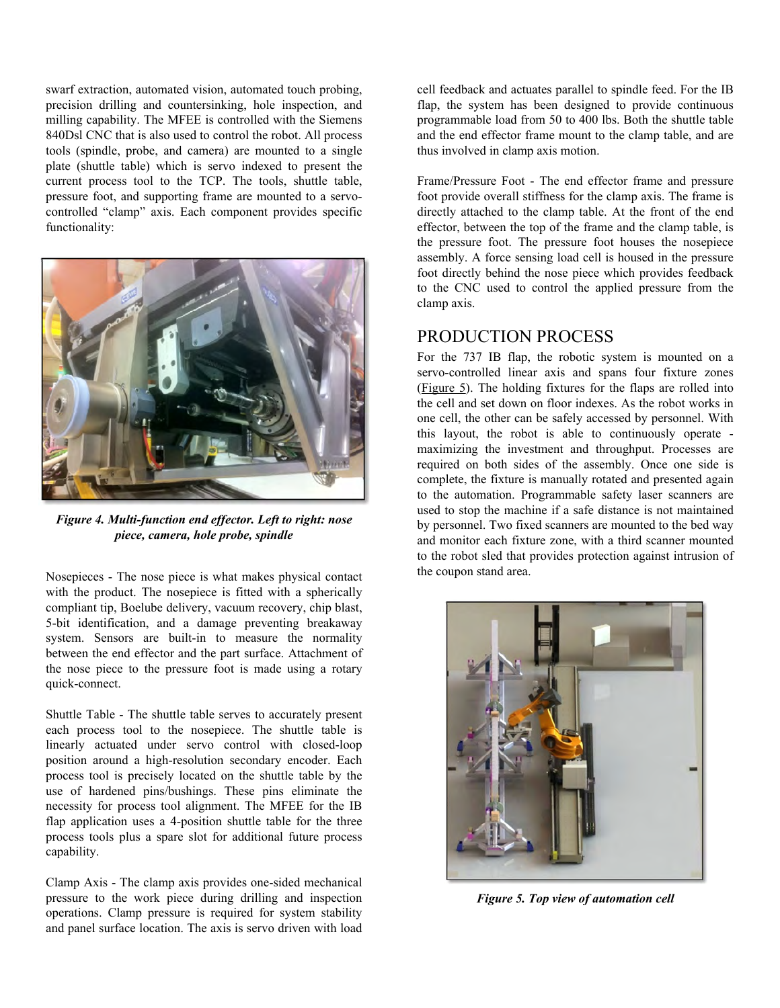<span id="page-3-0"></span>swarf extraction, automated vision, automated touch probing, precision drilling and countersinking, hole inspection, and milling capability. The MFEE is controlled with the Siemens 840Dsl CNC that is also used to control the robot. All process tools (spindle, probe, and camera) are mounted to a single plate (shuttle table) which is servo indexed to present the current process tool to the TCP. The tools, shuttle table, pressure foot, and supporting frame are mounted to a servocontrolled "clamp" axis. Each component provides specific functionality:



*Figure 4. Multi-function end effector. Left to right: nose piece, camera, hole probe, spindle*

Nosepieces - The nose piece is what makes physical contact with the product. The nosepiece is fitted with a spherically compliant tip, Boelube delivery, vacuum recovery, chip blast, 5-bit identification, and a damage preventing breakaway system. Sensors are built-in to measure the normality between the end effector and the part surface. Attachment of the nose piece to the pressure foot is made using a rotary quick-connect.

Shuttle Table - The shuttle table serves to accurately present each process tool to the nosepiece. The shuttle table is linearly actuated under servo control with closed-loop position around a high-resolution secondary encoder. Each process tool is precisely located on the shuttle table by the use of hardened pins/bushings. These pins eliminate the necessity for process tool alignment. The MFEE for the IB flap application uses a 4-position shuttle table for the three process tools plus a spare slot for additional future process capability.

Clamp Axis - The clamp axis provides one-sided mechanical pressure to the work piece during drilling and inspection operations. Clamp pressure is required for system stability and panel surface location. The axis is servo driven with load

cell feedback and actuates parallel to spindle feed. For the IB flap, the system has been designed to provide continuous programmable load from 50 to 400 lbs. Both the shuttle table and the end effector frame mount to the clamp table, and are thus involved in clamp axis motion.

Frame/Pressure Foot - The end effector frame and pressure foot provide overall stiffness for the clamp axis. The frame is directly attached to the clamp table. At the front of the end effector, between the top of the frame and the clamp table, is the pressure foot. The pressure foot houses the nosepiece assembly. A force sensing load cell is housed in the pressure foot directly behind the nose piece which provides feedback to the CNC used to control the applied pressure from the clamp axis.

## PRODUCTION PROCESS

For the 737 IB flap, the robotic system is mounted on a servo-controlled linear axis and spans four fixture zones (Figure 5). The holding fixtures for the flaps are rolled into the cell and set down on floor indexes. As the robot works in one cell, the other can be safely accessed by personnel. With this layout, the robot is able to continuously operate maximizing the investment and throughput. Processes are required on both sides of the assembly. Once one side is complete, the fixture is manually rotated and presented again to the automation. Programmable safety laser scanners are used to stop the machine if a safe distance is not maintained by personnel. Two fixed scanners are mounted to the bed way and monitor each fixture zone, with a third scanner mounted to the robot sled that provides protection against intrusion of the coupon stand area.



*Figure 5. Top view of automation cell*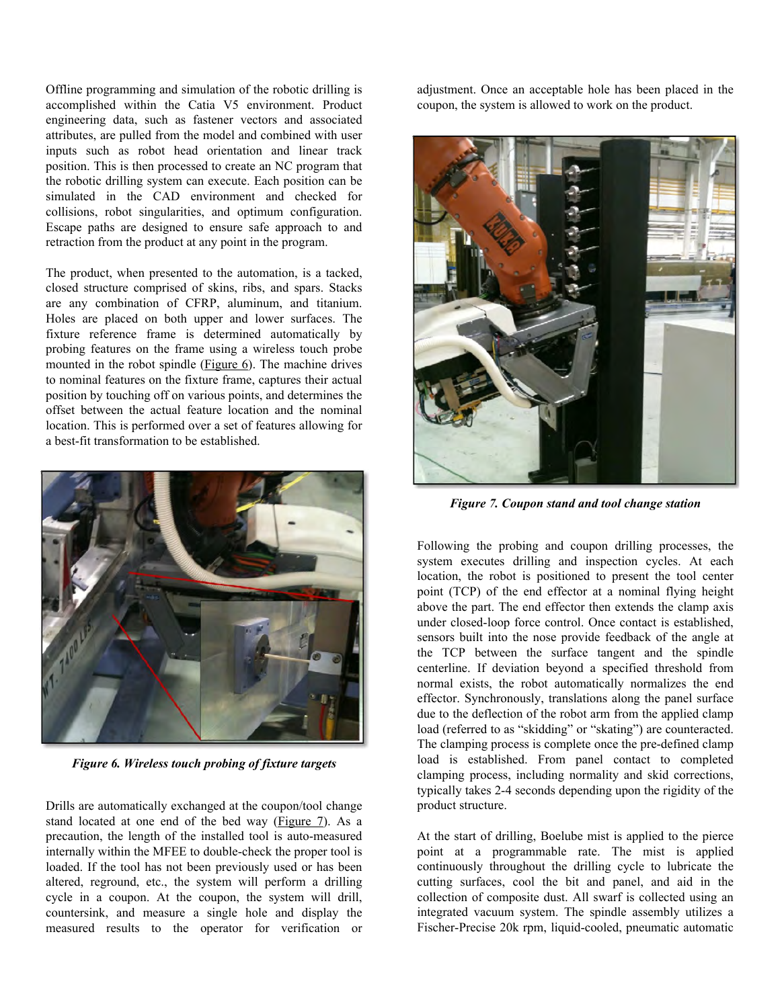Offline programming and simulation of the robotic drilling is accomplished within the Catia V5 environment. Product engineering data, such as fastener vectors and associated attributes, are pulled from the model and combined with user inputs such as robot head orientation and linear track position. This is then processed to create an NC program that the robotic drilling system can execute. Each position can be simulated in the CAD environment and checked for collisions, robot singularities, and optimum configuration. Escape paths are designed to ensure safe approach to and retraction from the product at any point in the program.

The product, when presented to the automation, is a tacked, closed structure comprised of skins, ribs, and spars. Stacks are any combination of CFRP, aluminum, and titanium. Holes are placed on both upper and lower surfaces. The fixture reference frame is determined automatically by probing features on the frame using a wireless touch probe mounted in the robot spindle (Figure 6). The machine drives to nominal features on the fixture frame, captures their actual position by touching off on various points, and determines the offset between the actual feature location and the nominal location. This is performed over a set of features allowing for a best-fit transformation to be established.



*Figure 6. Wireless touch probing of fixture targets*

Drills are automatically exchanged at the coupon/tool change stand located at one end of the bed way (Figure 7). As a precaution, the length of the installed tool is auto-measured internally within the MFEE to double-check the proper tool is loaded. If the tool has not been previously used or has been altered, reground, etc., the system will perform a drilling cycle in a coupon. At the coupon, the system will drill, countersink, and measure a single hole and display the measured results to the operator for verification or

adjustment. Once an acceptable hole has been placed in the coupon, the system is allowed to work on the product.



*Figure 7. Coupon stand and tool change station*

Following the probing and coupon drilling processes, the system executes drilling and inspection cycles. At each location, the robot is positioned to present the tool center point (TCP) of the end effector at a nominal flying height above the part. The end effector then extends the clamp axis under closed-loop force control. Once contact is established, sensors built into the nose provide feedback of the angle at the TCP between the surface tangent and the spindle centerline. If deviation beyond a specified threshold from normal exists, the robot automatically normalizes the end effector. Synchronously, translations along the panel surface due to the deflection of the robot arm from the applied clamp load (referred to as "skidding" or "skating") are counteracted. The clamping process is complete once the pre-defined clamp load is established. From panel contact to completed clamping process, including normality and skid corrections, typically takes 2-4 seconds depending upon the rigidity of the product structure.

At the start of drilling, Boelube mist is applied to the pierce point at a programmable rate. The mist is applied continuously throughout the drilling cycle to lubricate the cutting surfaces, cool the bit and panel, and aid in the collection of composite dust. All swarf is collected using an integrated vacuum system. The spindle assembly utilizes a Fischer-Precise 20k rpm, liquid-cooled, pneumatic automatic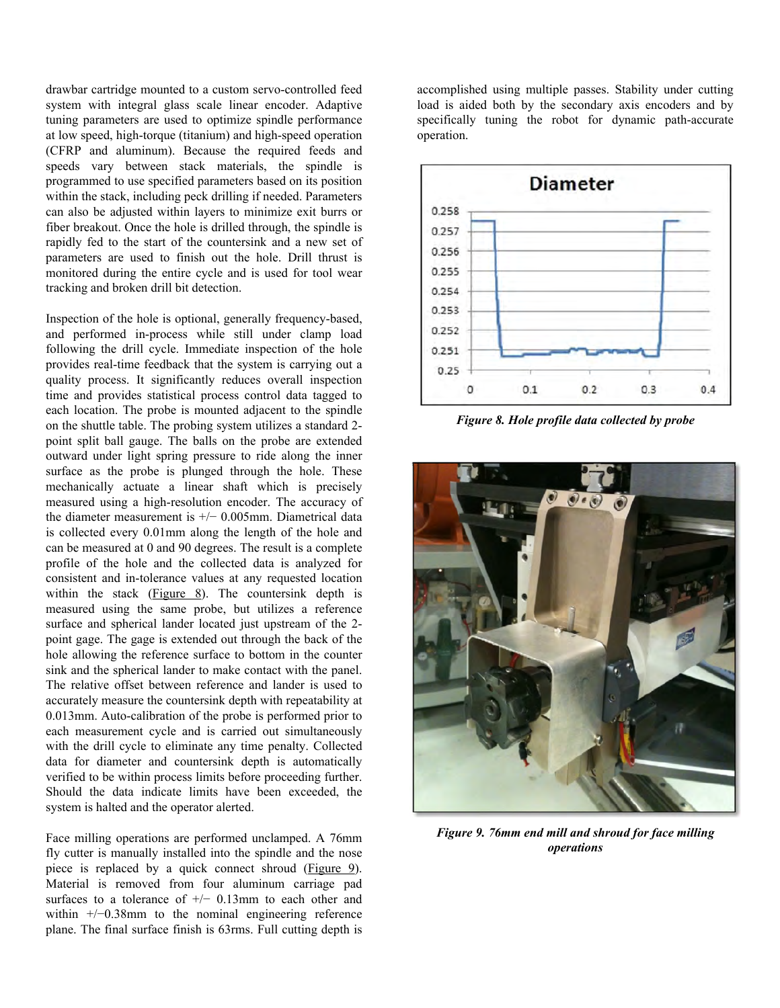drawbar cartridge mounted to a custom servo-controlled feed system with integral glass scale linear encoder. Adaptive tuning parameters are used to optimize spindle performance at low speed, high-torque (titanium) and high-speed operation (CFRP and aluminum). Because the required feeds and speeds vary between stack materials, the spindle is programmed to use specified parameters based on its position within the stack, including peck drilling if needed. Parameters can also be adjusted within layers to minimize exit burrs or fiber breakout. Once the hole is drilled through, the spindle is rapidly fed to the start of the countersink and a new set of parameters are used to finish out the hole. Drill thrust is monitored during the entire cycle and is used for tool wear tracking and broken drill bit detection.

Inspection of the hole is optional, generally frequency-based, and performed in-process while still under clamp load following the drill cycle. Immediate inspection of the hole provides real-time feedback that the system is carrying out a quality process. It significantly reduces overall inspection time and provides statistical process control data tagged to each location. The probe is mounted adjacent to the spindle on the shuttle table. The probing system utilizes a standard 2 point split ball gauge. The balls on the probe are extended outward under light spring pressure to ride along the inner surface as the probe is plunged through the hole. These mechanically actuate a linear shaft which is precisely measured using a high-resolution encoder. The accuracy of the diameter measurement is +/− 0.005mm. Diametrical data is collected every 0.01mm along the length of the hole and can be measured at 0 and 90 degrees. The result is a complete profile of the hole and the collected data is analyzed for consistent and in-tolerance values at any requested location within the stack (Figure 8). The countersink depth is measured using the same probe, but utilizes a reference surface and spherical lander located just upstream of the 2 point gage. The gage is extended out through the back of the hole allowing the reference surface to bottom in the counter sink and the spherical lander to make contact with the panel. The relative offset between reference and lander is used to accurately measure the countersink depth with repeatability at 0.013mm. Auto-calibration of the probe is performed prior to each measurement cycle and is carried out simultaneously with the drill cycle to eliminate any time penalty. Collected data for diameter and countersink depth is automatically verified to be within process limits before proceeding further. Should the data indicate limits have been exceeded, the system is halted and the operator alerted.

Face milling operations are performed unclamped. A 76mm fly cutter is manually installed into the spindle and the nose piece is replaced by a quick connect shroud (Figure 9). Material is removed from four aluminum carriage pad surfaces to a tolerance of +/− 0.13mm to each other and within +/−0.38mm to the nominal engineering reference plane. The final surface finish is 63rms. Full cutting depth is

accomplished using multiple passes. Stability under cutting load is aided both by the secondary axis encoders and by specifically tuning the robot for dynamic path-accurate operation.



*Figure 8. Hole profile data collected by probe*



*Figure 9. 76mm end mill and shroud for face milling operations*